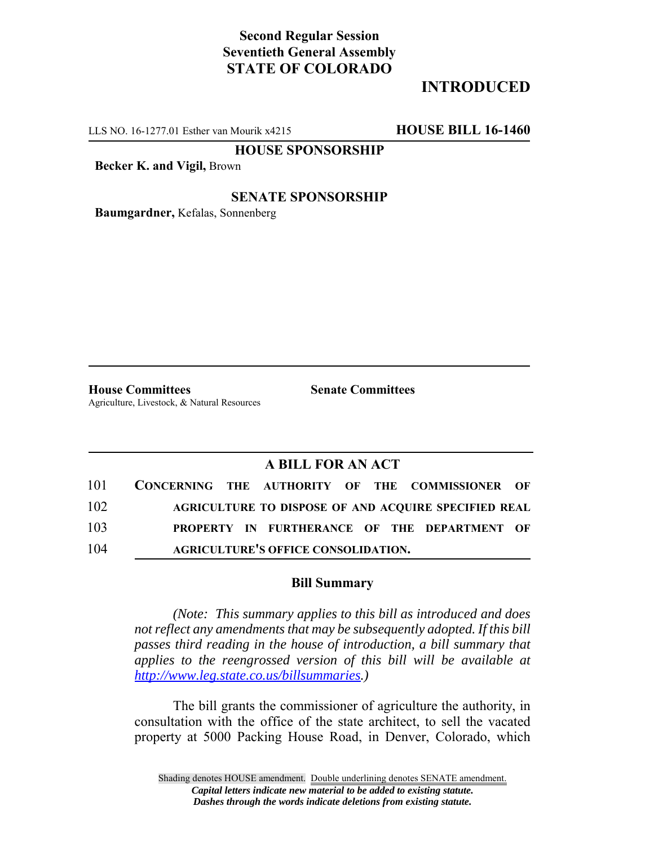# **Second Regular Session Seventieth General Assembly STATE OF COLORADO**

## **INTRODUCED**

LLS NO. 16-1277.01 Esther van Mourik x4215 **HOUSE BILL 16-1460**

**HOUSE SPONSORSHIP**

**Becker K. and Vigil,** Brown

### **SENATE SPONSORSHIP**

**Baumgardner,** Kefalas, Sonnenberg

**House Committees Senate Committees** Agriculture, Livestock, & Natural Resources

### **A BILL FOR AN ACT**

| 101 |  |                                            |  | CONCERNING THE AUTHORITY OF THE COMMISSIONER OF             |  |
|-----|--|--------------------------------------------|--|-------------------------------------------------------------|--|
| 102 |  |                                            |  | <b>AGRICULTURE TO DISPOSE OF AND ACOUIRE SPECIFIED REAL</b> |  |
| 103 |  |                                            |  | PROPERTY IN FURTHERANCE OF THE DEPARTMENT OF                |  |
| 104 |  | <b>AGRICULTURE'S OFFICE CONSOLIDATION.</b> |  |                                                             |  |

#### **Bill Summary**

*(Note: This summary applies to this bill as introduced and does not reflect any amendments that may be subsequently adopted. If this bill passes third reading in the house of introduction, a bill summary that applies to the reengrossed version of this bill will be available at http://www.leg.state.co.us/billsummaries.)*

The bill grants the commissioner of agriculture the authority, in consultation with the office of the state architect, to sell the vacated property at 5000 Packing House Road, in Denver, Colorado, which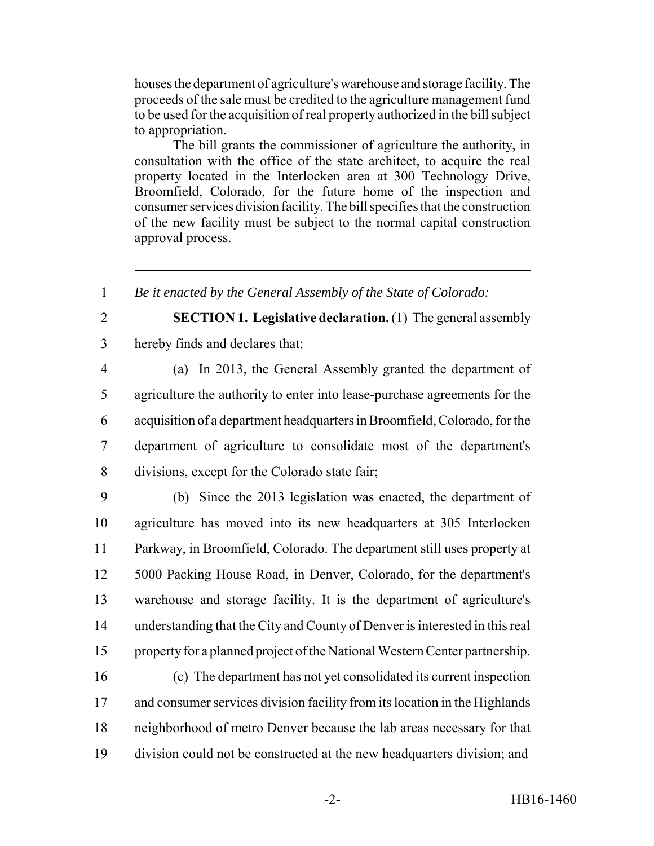houses the department of agriculture's warehouse and storage facility. The proceeds of the sale must be credited to the agriculture management fund to be used for the acquisition of real property authorized in the bill subject to appropriation.

The bill grants the commissioner of agriculture the authority, in consultation with the office of the state architect, to acquire the real property located in the Interlocken area at 300 Technology Drive, Broomfield, Colorado, for the future home of the inspection and consumer services division facility. The bill specifies that the construction of the new facility must be subject to the normal capital construction approval process.

*Be it enacted by the General Assembly of the State of Colorado:*

**SECTION 1. Legislative declaration.** (1) The general assembly

hereby finds and declares that:

 (a) In 2013, the General Assembly granted the department of agriculture the authority to enter into lease-purchase agreements for the acquisition of a department headquarters in Broomfield, Colorado, for the department of agriculture to consolidate most of the department's divisions, except for the Colorado state fair;

 (b) Since the 2013 legislation was enacted, the department of agriculture has moved into its new headquarters at 305 Interlocken Parkway, in Broomfield, Colorado. The department still uses property at 5000 Packing House Road, in Denver, Colorado, for the department's warehouse and storage facility. It is the department of agriculture's understanding that the City and County of Denver is interested in this real property for a planned project of the National Western Center partnership.

 (c) The department has not yet consolidated its current inspection and consumer services division facility from its location in the Highlands neighborhood of metro Denver because the lab areas necessary for that division could not be constructed at the new headquarters division; and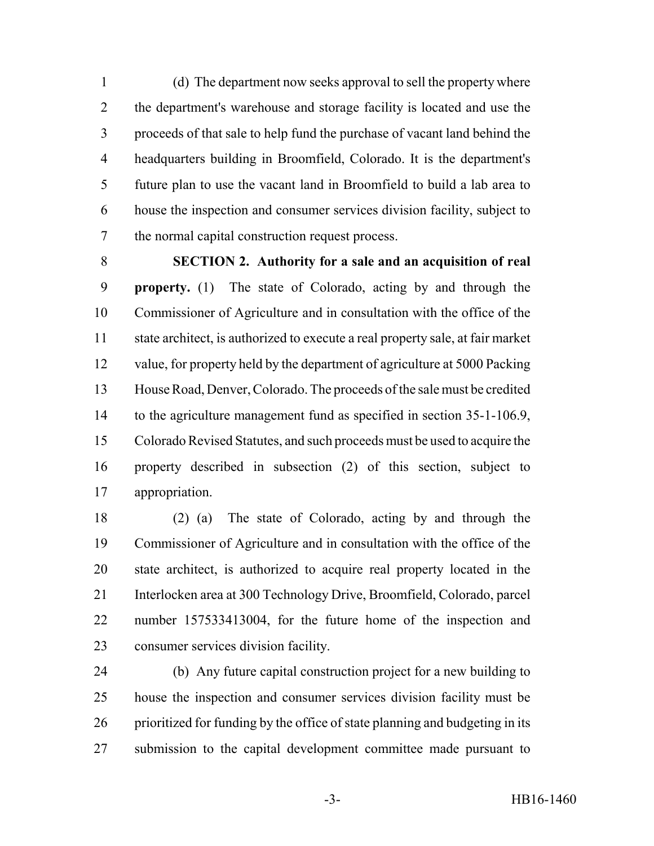(d) The department now seeks approval to sell the property where the department's warehouse and storage facility is located and use the proceeds of that sale to help fund the purchase of vacant land behind the headquarters building in Broomfield, Colorado. It is the department's future plan to use the vacant land in Broomfield to build a lab area to house the inspection and consumer services division facility, subject to the normal capital construction request process.

 **SECTION 2. Authority for a sale and an acquisition of real property.** (1) The state of Colorado, acting by and through the Commissioner of Agriculture and in consultation with the office of the state architect, is authorized to execute a real property sale, at fair market value, for property held by the department of agriculture at 5000 Packing House Road, Denver, Colorado. The proceeds of the sale must be credited 14 to the agriculture management fund as specified in section 35-1-106.9, Colorado Revised Statutes, and such proceeds must be used to acquire the property described in subsection (2) of this section, subject to appropriation.

 (2) (a) The state of Colorado, acting by and through the Commissioner of Agriculture and in consultation with the office of the state architect, is authorized to acquire real property located in the Interlocken area at 300 Technology Drive, Broomfield, Colorado, parcel number 157533413004, for the future home of the inspection and consumer services division facility.

 (b) Any future capital construction project for a new building to house the inspection and consumer services division facility must be prioritized for funding by the office of state planning and budgeting in its submission to the capital development committee made pursuant to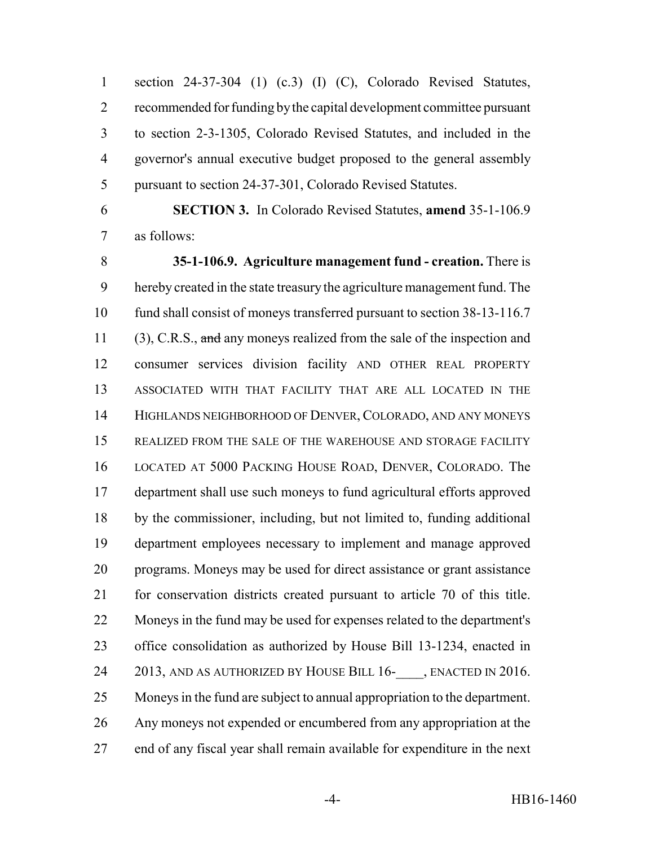section 24-37-304 (1) (c.3) (I) (C), Colorado Revised Statutes, recommended for funding by the capital development committee pursuant to section 2-3-1305, Colorado Revised Statutes, and included in the governor's annual executive budget proposed to the general assembly pursuant to section 24-37-301, Colorado Revised Statutes.

 **SECTION 3.** In Colorado Revised Statutes, **amend** 35-1-106.9 as follows:

 **35-1-106.9. Agriculture management fund - creation.** There is hereby created in the state treasury the agriculture management fund. The fund shall consist of moneys transferred pursuant to section 38-13-116.7 11 (3), C.R.S., and any moneys realized from the sale of the inspection and consumer services division facility AND OTHER REAL PROPERTY ASSOCIATED WITH THAT FACILITY THAT ARE ALL LOCATED IN THE HIGHLANDS NEIGHBORHOOD OF DENVER, COLORADO, AND ANY MONEYS REALIZED FROM THE SALE OF THE WAREHOUSE AND STORAGE FACILITY LOCATED AT 5000 PACKING HOUSE ROAD, DENVER, COLORADO. The department shall use such moneys to fund agricultural efforts approved by the commissioner, including, but not limited to, funding additional department employees necessary to implement and manage approved programs. Moneys may be used for direct assistance or grant assistance for conservation districts created pursuant to article 70 of this title. Moneys in the fund may be used for expenses related to the department's office consolidation as authorized by House Bill 13-1234, enacted in 24 2013, AND AS AUTHORIZED BY HOUSE BILL 16- , ENACTED IN 2016. Moneys in the fund are subject to annual appropriation to the department. Any moneys not expended or encumbered from any appropriation at the end of any fiscal year shall remain available for expenditure in the next